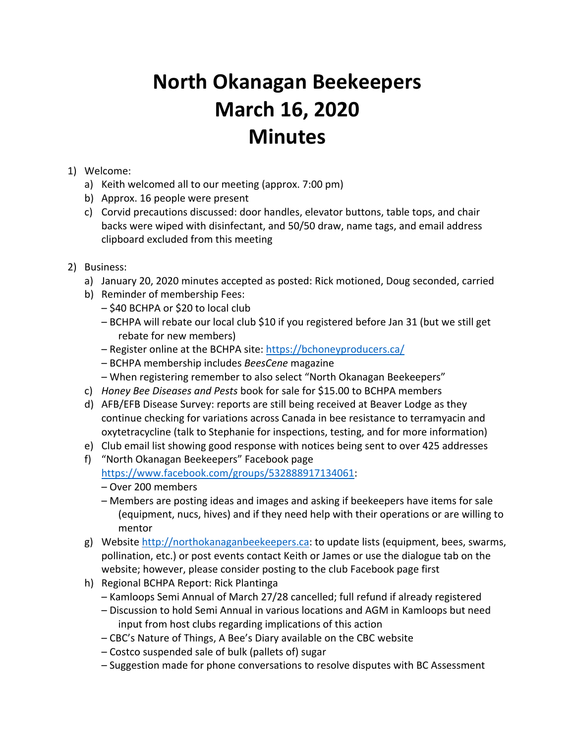## **North Okanagan Beekeepers March 16, 2020 Minutes**

## 1) Welcome:

- a) Keith welcomed all to our meeting (approx. 7:00 pm)
- b) Approx. 16 people were present
- c) Corvid precautions discussed: door handles, elevator buttons, table tops, and chair backs were wiped with disinfectant, and 50/50 draw, name tags, and email address clipboard excluded from this meeting
- 2) Business:
	- a) January 20, 2020 minutes accepted as posted: Rick motioned, Doug seconded, carried
	- b) Reminder of membership Fees:
		- \$40 BCHPA or \$20 to local club
		- BCHPA will rebate our local club \$10 if you registered before Jan 31 (but we still get rebate for new members)
		- Register online at the BCHPA site:<https://bchoneyproducers.ca/>
		- BCHPA membership includes *BeesCene* magazine
		- When registering remember to also select "North Okanagan Beekeepers"
	- c) *Honey Bee Diseases and Pests* book for sale for \$15.00 to BCHPA members
	- d) AFB/EFB Disease Survey: reports are still being received at Beaver Lodge as they continue checking for variations across Canada in bee resistance to terramyacin and oxytetracycline (talk to Stephanie for inspections, testing, and for more information)
	- e) Club email list showing good response with notices being sent to over 425 addresses
	- f) "North Okanagan Beekeepers" Facebook page [https://www.facebook.com/groups/532888917134061:](https://www.facebook.com/groups/532888917134061)
		- Over 200 members
		- Members are posting ideas and images and asking if beekeepers have items for sale (equipment, nucs, hives) and if they need help with their operations or are willing to mentor
	- g) Website [http://northokanaganbeekeepers.ca:](http://northokanaganbeekeepers.ca/) to update lists (equipment, bees, swarms, pollination, etc.) or post events contact Keith or James or use the dialogue tab on the website; however, please consider posting to the club Facebook page first
	- h) Regional BCHPA Report: Rick Plantinga
		- Kamloops Semi Annual of March 27/28 cancelled; full refund if already registered
		- Discussion to hold Semi Annual in various locations and AGM in Kamloops but need input from host clubs regarding implications of this action
		- CBC's Nature of Things, A Bee's Diary available on the CBC website
		- Costco suspended sale of bulk (pallets of) sugar
		- Suggestion made for phone conversations to resolve disputes with BC Assessment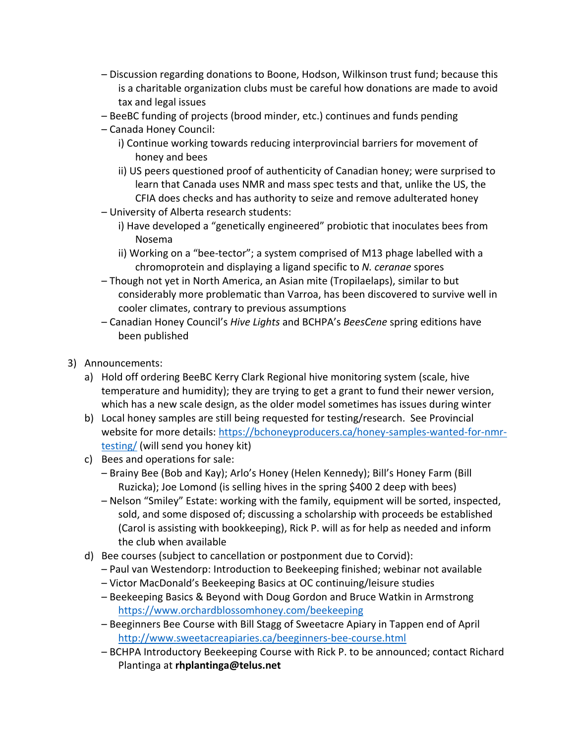- Discussion regarding donations to Boone, Hodson, Wilkinson trust fund; because this is a charitable organization clubs must be careful how donations are made to avoid tax and legal issues
- BeeBC funding of projects (brood minder, etc.) continues and funds pending
- Canada Honey Council:
	- i) Continue working towards reducing interprovincial barriers for movement of honey and bees
	- ii) US peers questioned proof of authenticity of Canadian honey; were surprised to learn that Canada uses NMR and mass spec tests and that, unlike the US, the CFIA does checks and has authority to seize and remove adulterated honey
- University of Alberta research students:
	- i) Have developed a "genetically engineered" probiotic that inoculates bees from Nosema
	- ii) Working on a "bee-tector"; a system comprised of M13 phage labelled with a chromoprotein and displaying a ligand specific to *N. ceranae* spores
- Though not yet in North America, an Asian mite (Tropilaelaps), similar to but considerably more problematic than Varroa, has been discovered to survive well in cooler climates, contrary to previous assumptions
- Canadian Honey Council's *Hive Lights* and BCHPA's *BeesCene* spring editions have been published
- 3) Announcements:
	- a) Hold off ordering BeeBC Kerry Clark Regional hive monitoring system (scale, hive temperature and humidity); they are trying to get a grant to fund their newer version, which has a new scale design, as the older model sometimes has issues during winter
	- b) Local honey samples are still being requested for testing/research. See Provincial website for more details: [https://bchoneyproducers.ca/honey-samples-wanted-for-nmr](https://bchoneyproducers.ca/honey-samples-wanted-for-nmr-testing/)[testing/](https://bchoneyproducers.ca/honey-samples-wanted-for-nmr-testing/) (will send you honey kit)
	- c) Bees and operations for sale:
		- Brainy Bee (Bob and Kay); Arlo's Honey (Helen Kennedy); Bill's Honey Farm (Bill Ruzicka); Joe Lomond (is selling hives in the spring \$400 2 deep with bees)
		- Nelson "Smiley" Estate: working with the family, equipment will be sorted, inspected, sold, and some disposed of; discussing a scholarship with proceeds be established (Carol is assisting with bookkeeping), Rick P. will as for help as needed and inform the club when available
	- d) Bee courses (subject to cancellation or postponment due to Corvid):
		- Paul van Westendorp: Introduction to Beekeeping finished; webinar not available
		- Victor MacDonald's Beekeeping Basics at OC continuing/leisure studies
		- Beekeeping Basics & Beyond with Doug Gordon and Bruce Watkin in Armstrong <https://www.orchardblossomhoney.com/beekeeping>
		- Beeginners Bee Course with Bill Stagg of Sweetacre Apiary in Tappen end of April <http://www.sweetacreapiaries.ca/beeginners-bee-course.html>
		- BCHPA Introductory Beekeeping Course with Rick P. to be announced; contact Richard Plantinga at **rhplantinga@telus.net**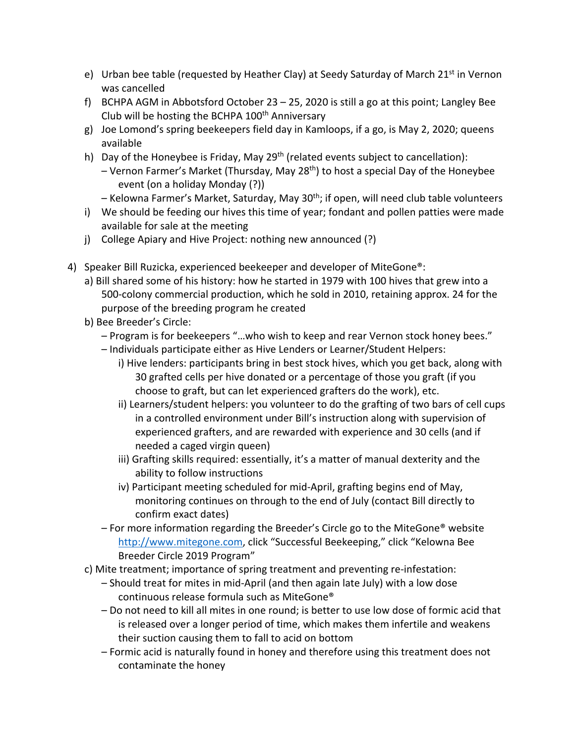- e) Urban bee table (requested by Heather Clay) at Seedy Saturday of March 21st in Vernon was cancelled
- f) BCHPA AGM in Abbotsford October 23 25, 2020 is still a go at this point; Langley Bee Club will be hosting the BCHPA 100<sup>th</sup> Anniversary
- g) Joe Lomond's spring beekeepers field day in Kamloops, if a go, is May 2, 2020; queens available
- h) Day of the Honeybee is Friday, May 29<sup>th</sup> (related events subject to cancellation):
	- Vernon Farmer's Market (Thursday, May 28<sup>th</sup>) to host a special Day of the Honeybee event (on a holiday Monday (?))
	- $-$  Kelowna Farmer's Market, Saturday, May 30<sup>th</sup>; if open, will need club table volunteers
- i) We should be feeding our hives this time of year; fondant and pollen patties were made available for sale at the meeting
- j) College Apiary and Hive Project: nothing new announced (?)
- 4) Speaker Bill Ruzicka, experienced beekeeper and developer of MiteGone®:
	- a) Bill shared some of his history: how he started in 1979 with 100 hives that grew into a 500-colony commercial production, which he sold in 2010, retaining approx. 24 for the purpose of the breeding program he created
	- b) Bee Breeder's Circle:
		- Program is for beekeepers "…who wish to keep and rear Vernon stock honey bees."
		- Individuals participate either as Hive Lenders or Learner/Student Helpers:
			- i) Hive lenders: participants bring in best stock hives, which you get back, along with 30 grafted cells per hive donated or a percentage of those you graft (if you choose to graft, but can let experienced grafters do the work), etc.
			- ii) Learners/student helpers: you volunteer to do the grafting of two bars of cell cups in a controlled environment under Bill's instruction along with supervision of experienced grafters, and are rewarded with experience and 30 cells (and if needed a caged virgin queen)
			- iii) Grafting skills required: essentially, it's a matter of manual dexterity and the ability to follow instructions
			- iv) Participant meeting scheduled for mid-April, grafting begins end of May, monitoring continues on through to the end of July (contact Bill directly to confirm exact dates)
		- For more information regarding the Breeder's Circle go to the MiteGone® website [http://www.mitegone.com,](http://www.mitegone.com/) click "Successful Beekeeping," click "Kelowna Bee Breeder Circle 2019 Program"
	- c) Mite treatment; importance of spring treatment and preventing re-infestation:
		- Should treat for mites in mid-April (and then again late July) with a low dose continuous release formula such as MiteGone®
		- Do not need to kill all mites in one round; is better to use low dose of formic acid that is released over a longer period of time, which makes them infertile and weakens their suction causing them to fall to acid on bottom
		- Formic acid is naturally found in honey and therefore using this treatment does not contaminate the honey